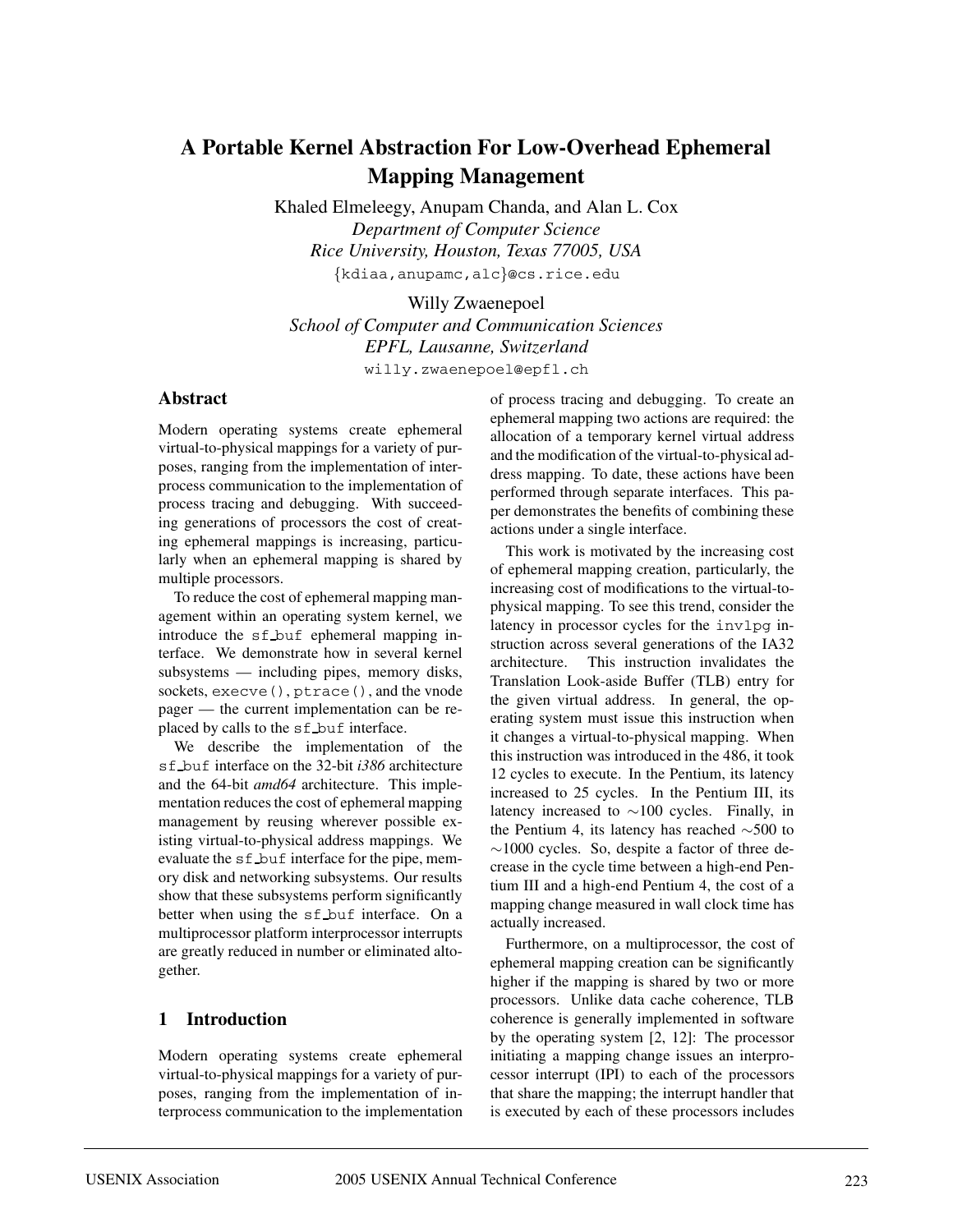# **A Portable Kernel Abstraction For Low-Overhead Ephemeral Mapping Management**

Khaled Elmeleegy, Anupam Chanda, and Alan L. Cox *Department of Computer Science Rice University, Houston, Texas 77005, USA* {kdiaa,anupamc,alc}@cs.rice.edu

Willy Zwaenepoel *School of Computer and Communication Sciences EPFL, Lausanne, Switzerland* willy.zwaenepoel@epfl.ch

#### **Abstract**

Modern operating systems create ephemeral virtual-to-physical mappings for a variety of purposes, ranging from the implementation of interprocess communication to the implementation of process tracing and debugging. With succeeding generations of processors the cost of creating ephemeral mappings is increasing, particularly when an ephemeral mapping is shared by multiple processors.

To reduce the cost of ephemeral mapping management within an operating system kernel, we introduce the sf buf ephemeral mapping interface. We demonstrate how in several kernel subsystems — including pipes, memory disks, sockets, execve(), ptrace(), and the vnode pager — the current implementation can be replaced by calls to the sf buf interface.

We describe the implementation of the sf buf interface on the 32-bit *i386* architecture and the 64-bit *amd64* architecture. This implementation reduces the cost of ephemeral mapping management by reusing wherever possible existing virtual-to-physical address mappings. We evaluate the sf buf interface for the pipe, memory disk and networking subsystems. Our results show that these subsystems perform significantly better when using the sf buf interface. On a multiprocessor platform interprocessor interrupts are greatly reduced in number or eliminated altogether.

### **1 Introduction**

Modern operating systems create ephemeral virtual-to-physical mappings for a variety of purposes, ranging from the implementation of interprocess communication to the implementation of process tracing and debugging. To create an ephemeral mapping two actions are required: the allocation of a temporary kernel virtual address and the modification of the virtual-to-physical address mapping. To date, these actions have been performed through separate interfaces. This paper demonstrates the benefits of combining these actions under a single interface.

This work is motivated by the increasing cost of ephemeral mapping creation, particularly, the increasing cost of modifications to the virtual-tophysical mapping. To see this trend, consider the latency in processor cycles for the invlpg instruction across several generations of the IA32 architecture. This instruction invalidates the Translation Look-aside Buffer (TLB) entry for the given virtual address. In general, the operating system must issue this instruction when it changes a virtual-to-physical mapping. When this instruction was introduced in the 486, it took 12 cycles to execute. In the Pentium, its latency increased to 25 cycles. In the Pentium III, its latency increased to ∼100 cycles. Finally, in the Pentium 4, its latency has reached ∼500 to ∼1000 cycles. So, despite a factor of three decrease in the cycle time between a high-end Pentium III and a high-end Pentium 4, the cost of a mapping change measured in wall clock time has actually increased.

Furthermore, on a multiprocessor, the cost of ephemeral mapping creation can be significantly higher if the mapping is shared by two or more processors. Unlike data cache coherence, TLB coherence is generally implemented in software by the operating system [2, 12]: The processor initiating a mapping change issues an interprocessor interrupt (IPI) to each of the processors that share the mapping; the interrupt handler that is executed by each of these processors includes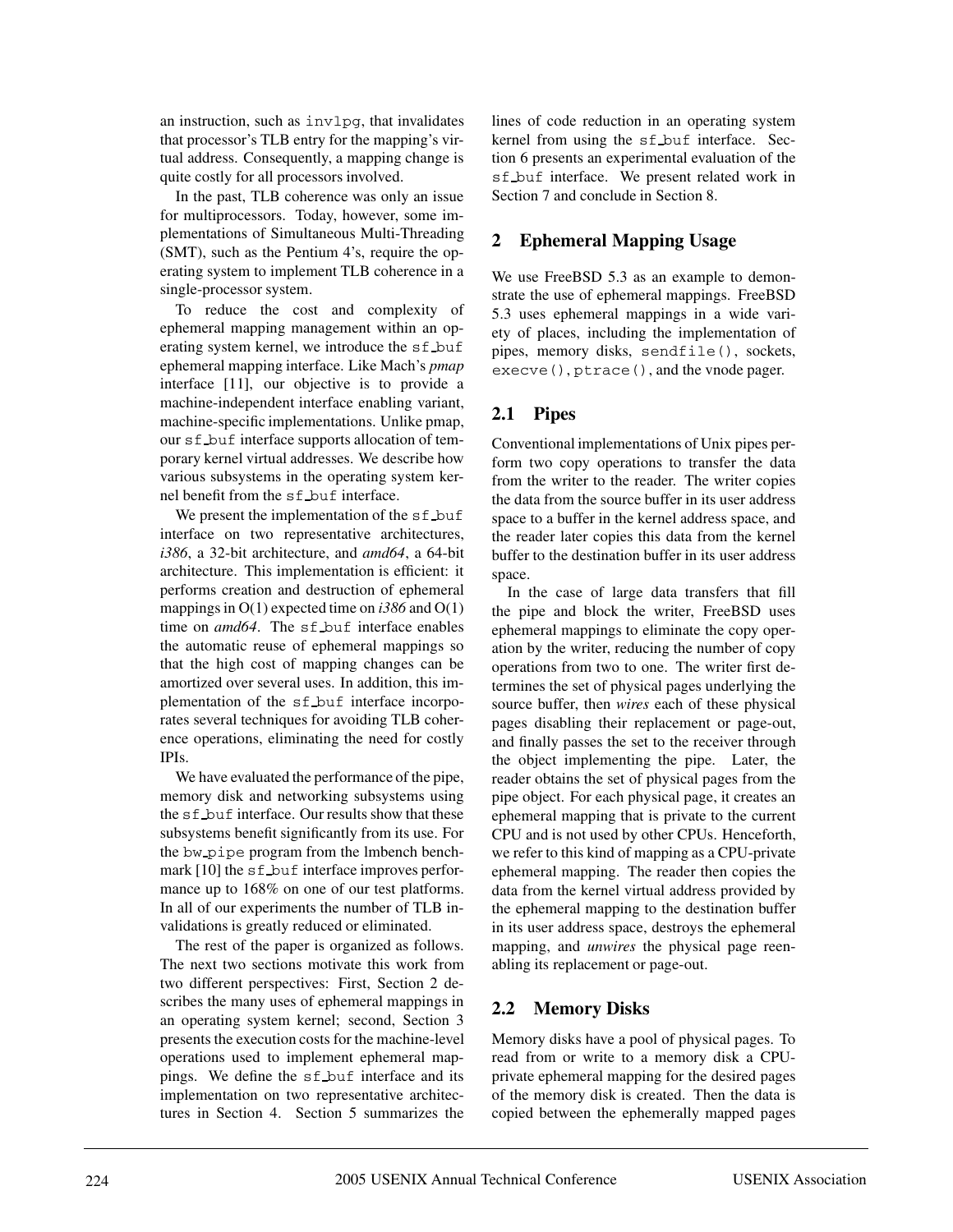an instruction, such as invlpg, that invalidates that processor's TLB entry for the mapping's virtual address. Consequently, a mapping change is quite costly for all processors involved.

In the past, TLB coherence was only an issue for multiprocessors. Today, however, some implementations of Simultaneous Multi-Threading (SMT), such as the Pentium 4's, require the operating system to implement TLB coherence in a single-processor system.

To reduce the cost and complexity of ephemeral mapping management within an operating system kernel, we introduce the sf\_buf ephemeral mapping interface. Like Mach's *pmap* interface [11], our objective is to provide a machine-independent interface enabling variant, machine-specific implementations. Unlike pmap, our sf buf interface supports allocation of temporary kernel virtual addresses. We describe how various subsystems in the operating system kernel benefit from the sf buf interface.

We present the implementation of the sf buf interface on two representative architectures, *i386*, a 32-bit architecture, and *amd64*, a 64-bit architecture. This implementation is efficient: it performs creation and destruction of ephemeral mappings in O(1) expected time on *i386* and O(1) time on *amd64*. The sf buf interface enables the automatic reuse of ephemeral mappings so that the high cost of mapping changes can be amortized over several uses. In addition, this implementation of the sf buf interface incorporates several techniques for avoiding TLB coherence operations, eliminating the need for costly IPIs.

We have evaluated the performance of the pipe, memory disk and networking subsystems using the sf\_buf interface. Our results show that these subsystems benefit significantly from its use. For the bw pipe program from the lmbench benchmark [10] the s f buf interface improves performance up to 168% on one of our test platforms. In all of our experiments the number of TLB invalidations is greatly reduced or eliminated.

The rest of the paper is organized as follows. The next two sections motivate this work from two different perspectives: First, Section 2 describes the many uses of ephemeral mappings in an operating system kernel; second, Section 3 presents the execution costs for the machine-level operations used to implement ephemeral mappings. We define the sf\_buf interface and its implementation on two representative architectures in Section 4. Section 5 summarizes the lines of code reduction in an operating system kernel from using the sf buf interface. Section 6 presents an experimental evaluation of the sf buf interface. We present related work in Section 7 and conclude in Section 8.

## **2 Ephemeral Mapping Usage**

We use FreeBSD 5.3 as an example to demonstrate the use of ephemeral mappings. FreeBSD 5.3 uses ephemeral mappings in a wide variety of places, including the implementation of pipes, memory disks, sendfile(), sockets, execve(), ptrace(), and the vnode pager.

## **2.1 Pipes**

Conventional implementations of Unix pipes perform two copy operations to transfer the data from the writer to the reader. The writer copies the data from the source buffer in its user address space to a buffer in the kernel address space, and the reader later copies this data from the kernel buffer to the destination buffer in its user address space.

In the case of large data transfers that fill the pipe and block the writer, FreeBSD uses ephemeral mappings to eliminate the copy operation by the writer, reducing the number of copy operations from two to one. The writer first determines the set of physical pages underlying the source buffer, then *wires* each of these physical pages disabling their replacement or page-out, and finally passes the set to the receiver through the object implementing the pipe. Later, the reader obtains the set of physical pages from the pipe object. For each physical page, it creates an ephemeral mapping that is private to the current CPU and is not used by other CPUs. Henceforth, we refer to this kind of mapping as a CPU-private ephemeral mapping. The reader then copies the data from the kernel virtual address provided by the ephemeral mapping to the destination buffer in its user address space, destroys the ephemeral mapping, and *unwires* the physical page reenabling its replacement or page-out.

## **2.2 Memory Disks**

Memory disks have a pool of physical pages. To read from or write to a memory disk a CPUprivate ephemeral mapping for the desired pages of the memory disk is created. Then the data is copied between the ephemerally mapped pages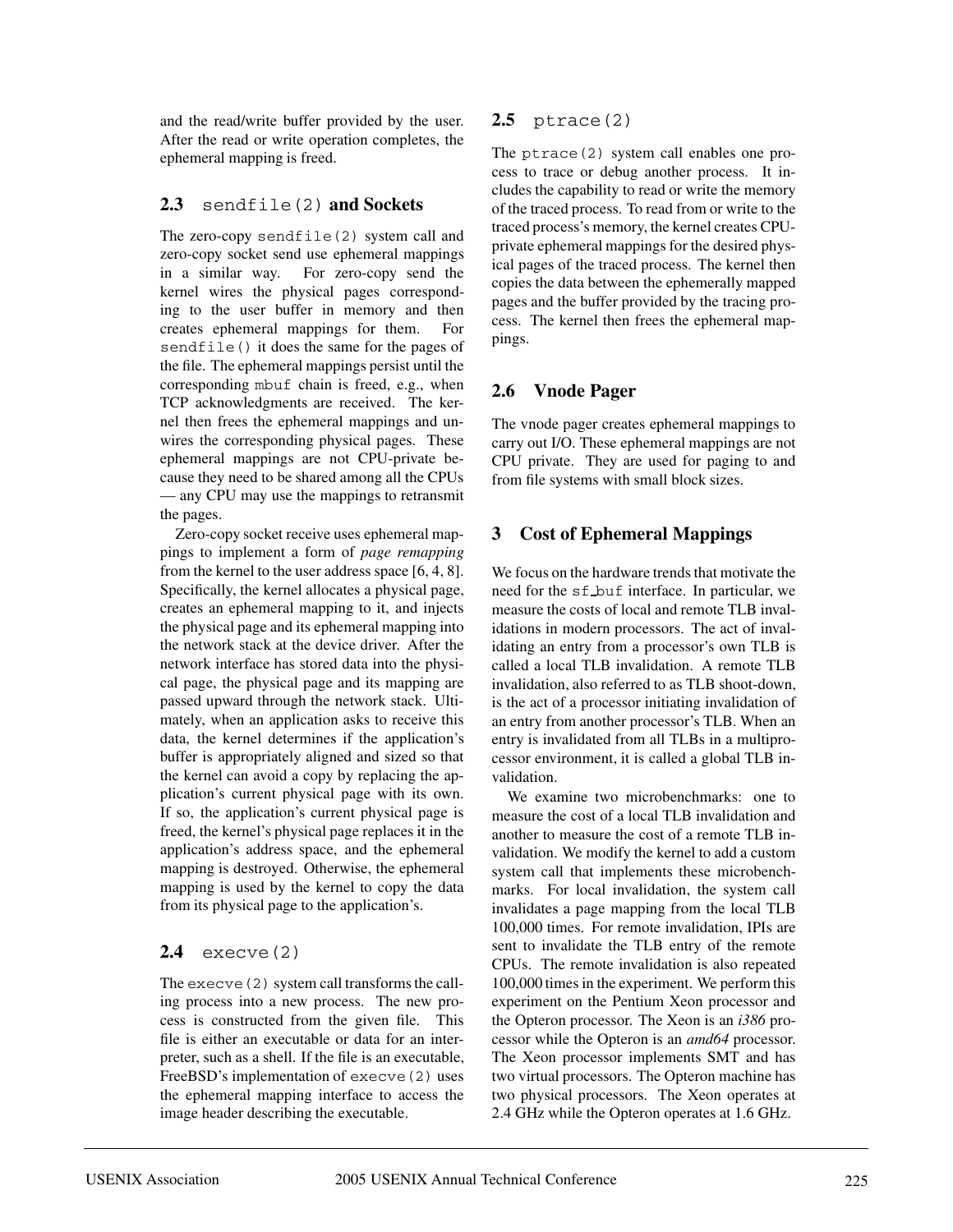and the read/write buffer provided by the user. After the read or write operation completes, the ephemeral mapping is freed.

### **2.3** sendfile(2) **and Sockets**

The zero-copy sendfile(2) system call and zero-copy socket send use ephemeral mappings in a similar way. For zero-copy send the kernel wires the physical pages corresponding to the user buffer in memory and then creates ephemeral mappings for them. For sendfile() it does the same for the pages of the file. The ephemeral mappings persist until the corresponding mbuf chain is freed, e.g., when TCP acknowledgments are received. The kernel then frees the ephemeral mappings and unwires the corresponding physical pages. These ephemeral mappings are not CPU-private because they need to be shared among all the CPUs — any CPU may use the mappings to retransmit the pages.

Zero-copy socket receive uses ephemeral mappings to implement a form of *page remapping* from the kernel to the user address space [6, 4, 8]. Specifically, the kernel allocates a physical page, creates an ephemeral mapping to it, and injects the physical page and its ephemeral mapping into the network stack at the device driver. After the network interface has stored data into the physical page, the physical page and its mapping are passed upward through the network stack. Ultimately, when an application asks to receive this data, the kernel determines if the application's buffer is appropriately aligned and sized so that the kernel can avoid a copy by replacing the application's current physical page with its own. If so, the application's current physical page is freed, the kernel's physical page replaces it in the application's address space, and the ephemeral mapping is destroyed. Otherwise, the ephemeral mapping is used by the kernel to copy the data from its physical page to the application's.

## **2.4** execve(2)

The execve(2) system call transforms the calling process into a new process. The new process is constructed from the given file. This file is either an executable or data for an interpreter, such as a shell. If the file is an executable, FreeBSD's implementation of execve(2) uses the ephemeral mapping interface to access the image header describing the executable.

## **2.5** ptrace(2)

The ptrace(2) system call enables one process to trace or debug another process. It includes the capability to read or write the memory of the traced process. To read from or write to the traced process's memory, the kernel creates CPUprivate ephemeral mappings for the desired physical pages of the traced process. The kernel then copies the data between the ephemerally mapped pages and the buffer provided by the tracing process. The kernel then frees the ephemeral mappings.

## **2.6 Vnode Pager**

The vnode pager creates ephemeral mappings to carry out I/O. These ephemeral mappings are not CPU private. They are used for paging to and from file systems with small block sizes.

## **3 Cost of Ephemeral Mappings**

We focus on the hardware trends that motivate the need for the sf buf interface. In particular, we measure the costs of local and remote TLB invalidations in modern processors. The act of invalidating an entry from a processor's own TLB is called a local TLB invalidation. A remote TLB invalidation, also referred to as TLB shoot-down, is the act of a processor initiating invalidation of an entry from another processor's TLB. When an entry is invalidated from all TLBs in a multiprocessor environment, it is called a global TLB invalidation.

We examine two microbenchmarks: one to measure the cost of a local TLB invalidation and another to measure the cost of a remote TLB invalidation. We modify the kernel to add a custom system call that implements these microbenchmarks. For local invalidation, the system call invalidates a page mapping from the local TLB 100,000 times. For remote invalidation, IPIs are sent to invalidate the TLB entry of the remote CPUs. The remote invalidation is also repeated 100,000 times in the experiment. We perform this experiment on the Pentium Xeon processor and the Opteron processor. The Xeon is an *i386* processor while the Opteron is an *amd64* processor. The Xeon processor implements SMT and has two virtual processors. The Opteron machine has two physical processors. The Xeon operates at 2.4 GHz while the Opteron operates at 1.6 GHz.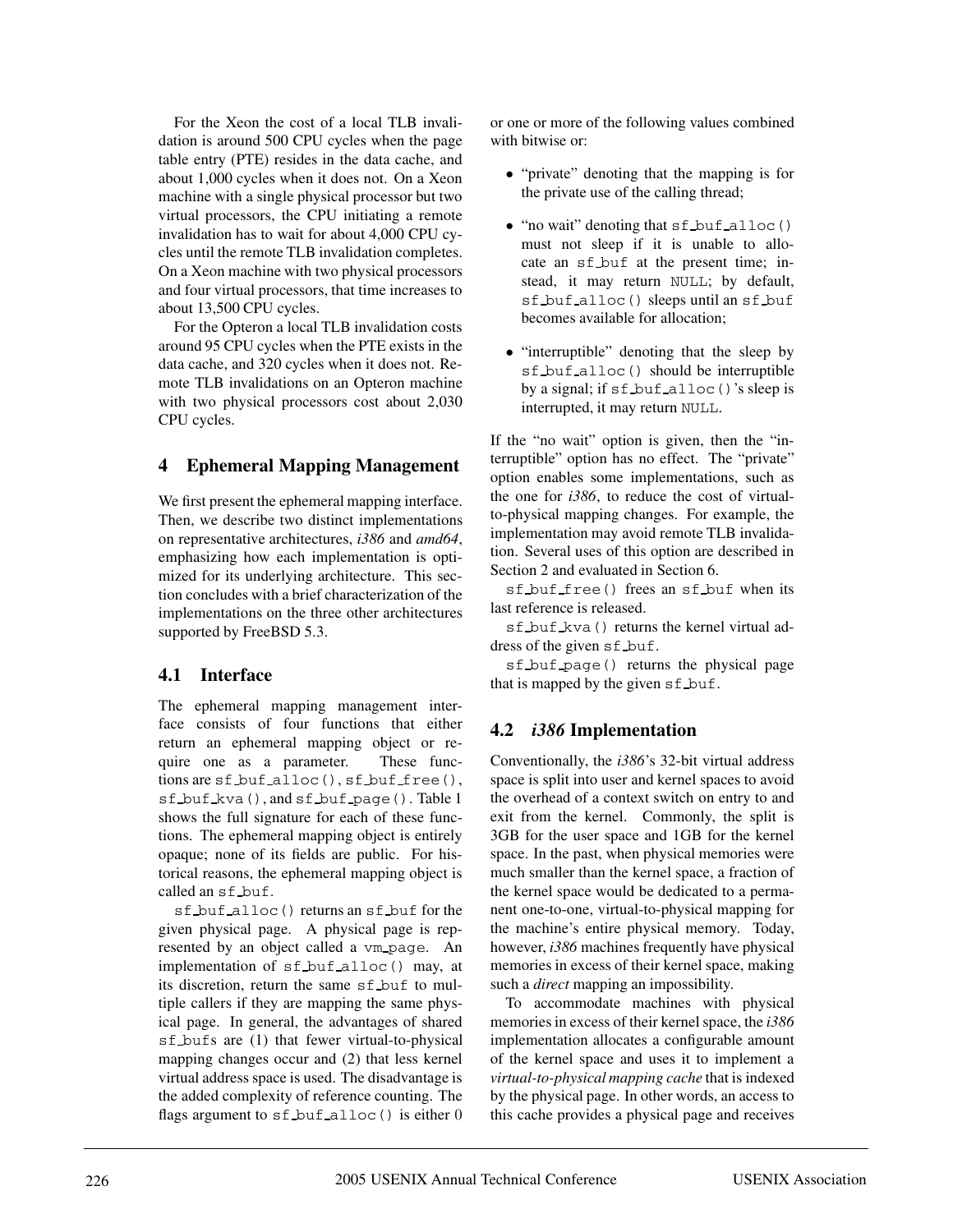For the Xeon the cost of a local TLB invalidation is around 500 CPU cycles when the page table entry (PTE) resides in the data cache, and about 1,000 cycles when it does not. On a Xeon machine with a single physical processor but two virtual processors, the CPU initiating a remote invalidation has to wait for about 4,000 CPU cycles until the remote TLB invalidation completes. On a Xeon machine with two physical processors and four virtual processors, that time increases to about 13,500 CPU cycles.

For the Opteron a local TLB invalidation costs around 95 CPU cycles when the PTE exists in the data cache, and 320 cycles when it does not. Remote TLB invalidations on an Opteron machine with two physical processors cost about 2,030 CPU cycles.

## **4 Ephemeral Mapping Management**

We first present the ephemeral mapping interface. Then, we describe two distinct implementations on representative architectures, *i386* and *amd64*, emphasizing how each implementation is optimized for its underlying architecture. This section concludes with a brief characterization of the implementations on the three other architectures supported by FreeBSD 5.3.

### **4.1 Interface**

The ephemeral mapping management interface consists of four functions that either return an ephemeral mapping object or require one as a parameter. These functions are sf buf alloc(), sf buf free(), sf buf kva(), and sf buf page(). Table 1 shows the full signature for each of these functions. The ephemeral mapping object is entirely opaque; none of its fields are public. For historical reasons, the ephemeral mapping object is called an sf buf.

sf buf alloc() returns an sf buf for the given physical page. A physical page is represented by an object called a vm page. An implementation of sf buf alloc() may, at its discretion, return the same sf buf to multiple callers if they are mapping the same physical page. In general, the advantages of shared sf bufs are (1) that fewer virtual-to-physical mapping changes occur and (2) that less kernel virtual address space is used. The disadvantage is the added complexity of reference counting. The flags argument to sf buf alloc() is either 0

or one or more of the following values combined with bitwise or:

- "private" denoting that the mapping is for the private use of the calling thread;
- $\bullet$  "no wait" denoting that sf buf alloc() must not sleep if it is unable to allocate an  $sf_b$  buf at the present time; instead, it may return NULL; by default, sf buf alloc() sleeps until an sf buf becomes available for allocation;
- "interruptible" denoting that the sleep by sf buf alloc() should be interruptible by a signal; if sf buf alloc()'s sleep is interrupted, it may return NULL.

If the "no wait" option is given, then the "interruptible" option has no effect. The "private" option enables some implementations, such as the one for *i386*, to reduce the cost of virtualto-physical mapping changes. For example, the implementation may avoid remote TLB invalidation. Several uses of this option are described in Section 2 and evaluated in Section 6.

sf buf free() frees an sf buf when its last reference is released.

sf\_buf\_kva() returns the kernel virtual address of the given sf buf.

sf buf page() returns the physical page that is mapped by the given sf buf.

### **4.2** *i386* **Implementation**

Conventionally, the *i386*'s 32-bit virtual address space is split into user and kernel spaces to avoid the overhead of a context switch on entry to and exit from the kernel. Commonly, the split is 3GB for the user space and 1GB for the kernel space. In the past, when physical memories were much smaller than the kernel space, a fraction of the kernel space would be dedicated to a permanent one-to-one, virtual-to-physical mapping for the machine's entire physical memory. Today, however, *i386* machines frequently have physical memories in excess of their kernel space, making such a *direct* mapping an impossibility.

To accommodate machines with physical memories in excess of their kernel space, the *i386* implementation allocates a configurable amount of the kernel space and uses it to implement a *virtual-to-physical mapping cache* that is indexed by the physical page. In other words, an access to this cache provides a physical page and receives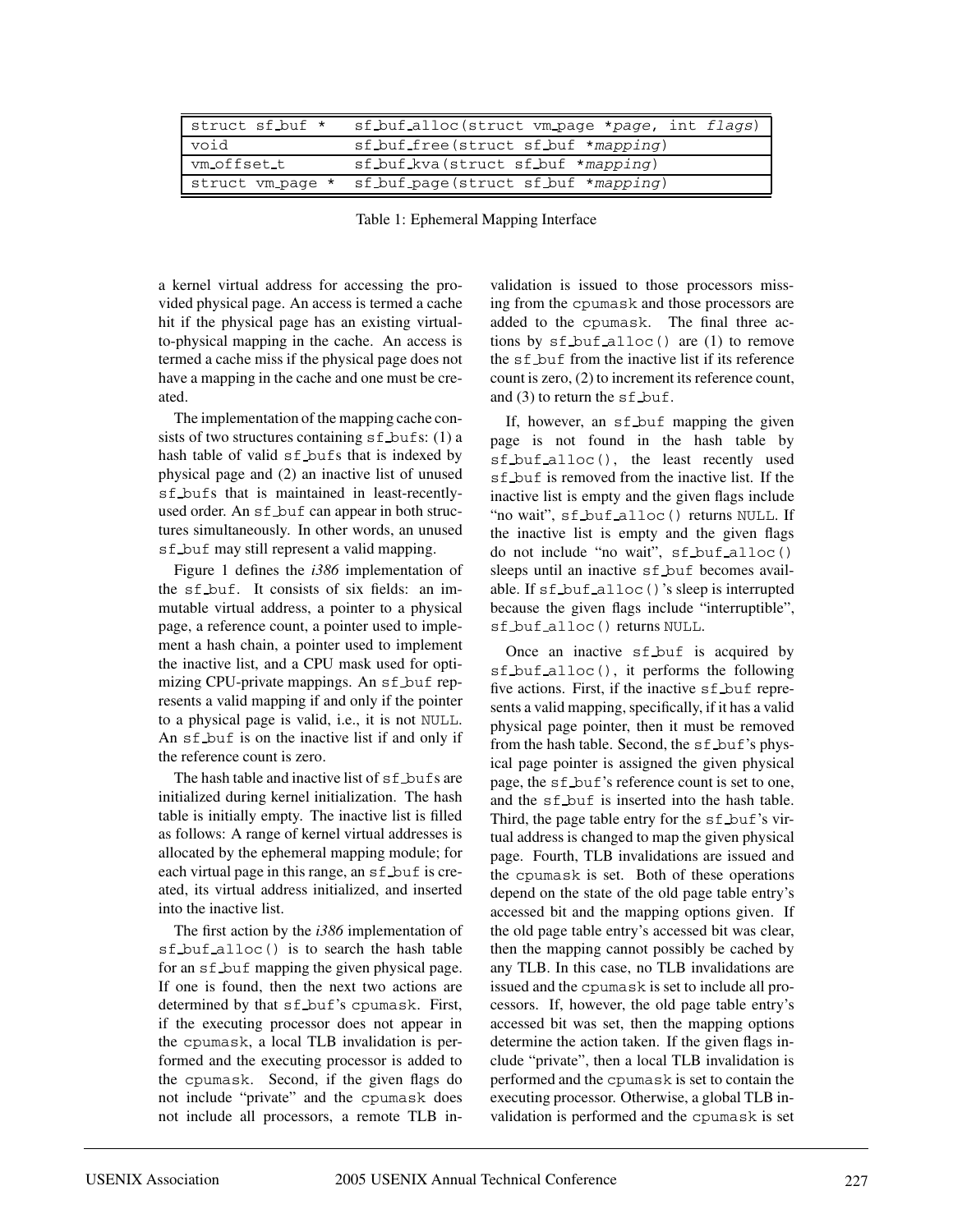| struct sf_buf *  | sf buf alloc (struct vm page *page, int flags) |
|------------------|------------------------------------------------|
| void             | sf buf free (struct sf buf *mapping)           |
| ym_offset_t      | sf buf kva (struct sf buf *mapping)            |
| struct vm_page * | sf_buf_page(struct sf_buf *mapping)            |

Table 1: Ephemeral Mapping Interface

a kernel virtual address for accessing the provided physical page. An access is termed a cache hit if the physical page has an existing virtualto-physical mapping in the cache. An access is termed a cache miss if the physical page does not have a mapping in the cache and one must be created.

The implementation of the mapping cache consists of two structures containing  $sf_b$  bufs: (1) a hash table of valid sf bufs that is indexed by physical page and (2) an inactive list of unused sf bufs that is maintained in least-recentlyused order. An sf buf can appear in both structures simultaneously. In other words, an unused sf buf may still represent a valid mapping.

Figure 1 defines the *i386* implementation of the sf buf. It consists of six fields: an immutable virtual address, a pointer to a physical page, a reference count, a pointer used to implement a hash chain, a pointer used to implement the inactive list, and a CPU mask used for optimizing CPU-private mappings. An sf buf represents a valid mapping if and only if the pointer to a physical page is valid, i.e., it is not NULL. An sf buf is on the inactive list if and only if the reference count is zero.

The hash table and inactive list of sf bufs are initialized during kernel initialization. The hash table is initially empty. The inactive list is filled as follows: A range of kernel virtual addresses is allocated by the ephemeral mapping module; for each virtual page in this range, an sf buf is created, its virtual address initialized, and inserted into the inactive list.

The first action by the *i386* implementation of sf buf alloc() is to search the hash table for an sf buf mapping the given physical page. If one is found, then the next two actions are determined by that sf buf's cpumask. First, if the executing processor does not appear in the cpumask, a local TLB invalidation is performed and the executing processor is added to the cpumask. Second, if the given flags do not include "private" and the cpumask does not include all processors, a remote TLB invalidation is issued to those processors missing from the cpumask and those processors are added to the cpumask. The final three actions by sf buf alloc() are (1) to remove the sf buf from the inactive list if its reference count is zero, (2) to increment its reference count, and  $(3)$  to return the sf  $but$ .

If, however, an sf buf mapping the given page is not found in the hash table by sf buf alloc(), the least recently used sf buf is removed from the inactive list. If the inactive list is empty and the given flags include "no wait", sf buf alloc() returns NULL. If the inactive list is empty and the given flags do not include "no wait", sf buf alloc() sleeps until an inactive sf buf becomes available. If sf buf alloc()'s sleep is interrupted because the given flags include "interruptible", sf buf alloc() returns NULL.

Once an inactive sf buf is acquired by sf buf alloc(), it performs the following five actions. First, if the inactive  $sf_b$  buf represents a valid mapping, specifically, if it has a valid physical page pointer, then it must be removed from the hash table. Second, the sf buf's physical page pointer is assigned the given physical page, the sf buf's reference count is set to one, and the sf buf is inserted into the hash table. Third, the page table entry for the  $sf_b$  buf's virtual address is changed to map the given physical page. Fourth, TLB invalidations are issued and the cpumask is set. Both of these operations depend on the state of the old page table entry's accessed bit and the mapping options given. If the old page table entry's accessed bit was clear, then the mapping cannot possibly be cached by any TLB. In this case, no TLB invalidations are issued and the cpumask is set to include all processors. If, however, the old page table entry's accessed bit was set, then the mapping options determine the action taken. If the given flags include "private", then a local TLB invalidation is performed and the cpumask is set to contain the executing processor. Otherwise, a global TLB invalidation is performed and the cpumask is set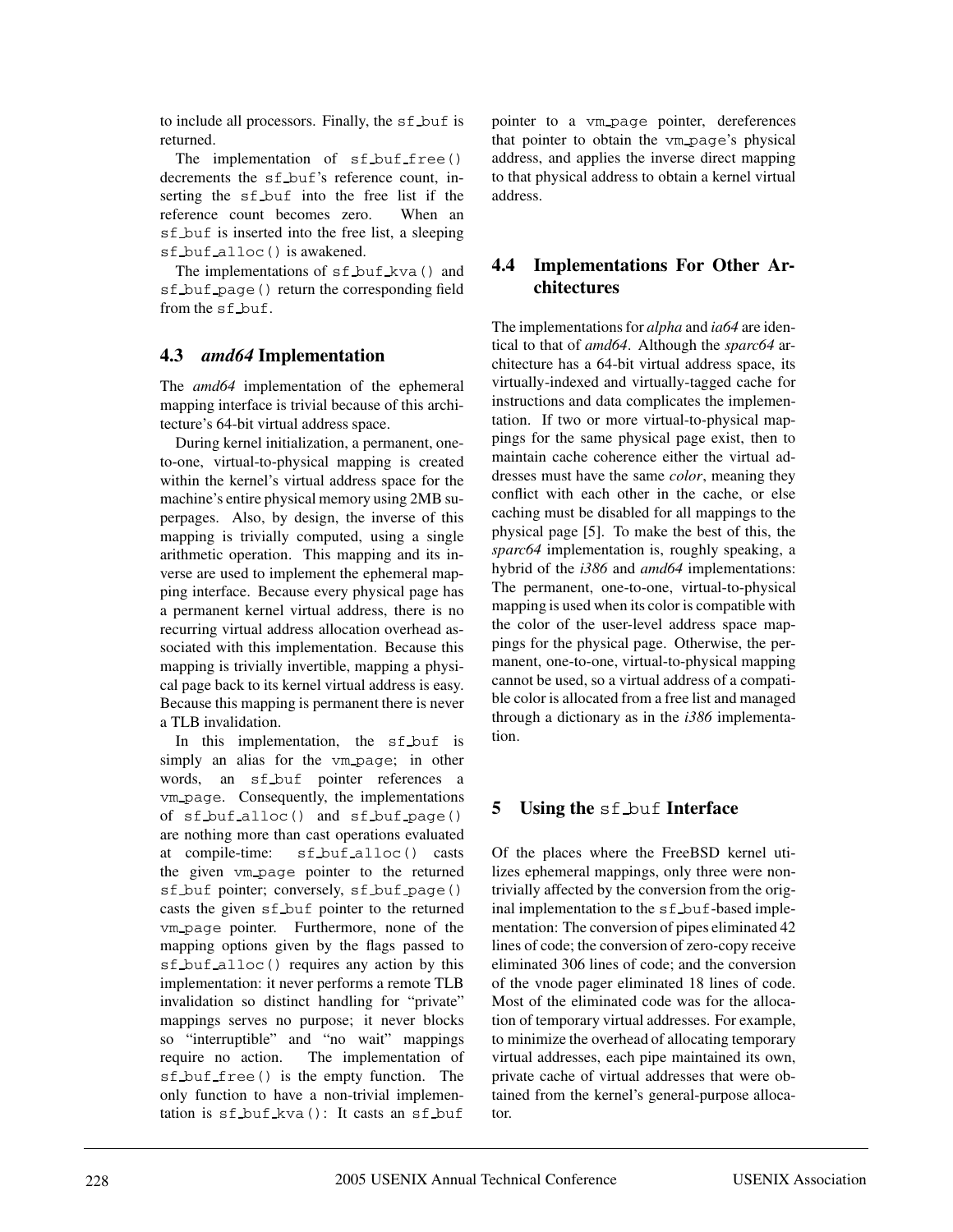to include all processors. Finally, the sf buf is returned.

The implementation of sf\_buf\_free() decrements the sf\_buf's reference count, inserting the sf buf into the free list if the reference count becomes zero. When an sf buf is inserted into the free list, a sleeping sf buf alloc() is awakened.

The implementations of sf buf kva() and sf buf page() return the corresponding field from the sf buf.

## **4.3** *amd64* **Implementation**

The *amd64* implementation of the ephemeral mapping interface is trivial because of this architecture's 64-bit virtual address space.

During kernel initialization, a permanent, oneto-one, virtual-to-physical mapping is created within the kernel's virtual address space for the machine's entire physical memory using 2MB superpages. Also, by design, the inverse of this mapping is trivially computed, using a single arithmetic operation. This mapping and its inverse are used to implement the ephemeral mapping interface. Because every physical page has a permanent kernel virtual address, there is no recurring virtual address allocation overhead associated with this implementation. Because this mapping is trivially invertible, mapping a physical page back to its kernel virtual address is easy. Because this mapping is permanent there is never a TLB invalidation.

In this implementation, the sf buf is simply an alias for the vm\_page; in other words, an sf\_buf pointer references a vm page. Consequently, the implementations of sf buf alloc() and sf buf page() are nothing more than cast operations evaluated at compile-time: sf buf alloc() casts the given vm page pointer to the returned sf buf pointer; conversely, sf buf page() casts the given  $sf_b$  buf pointer to the returned vm page pointer. Furthermore, none of the mapping options given by the flags passed to sf buf alloc() requires any action by this implementation: it never performs a remote TLB invalidation so distinct handling for "private" mappings serves no purpose; it never blocks so "interruptible" and "no wait" mappings require no action. The implementation of sf buf free() is the empty function. The only function to have a non-trivial implementation is sf buf kva(): It casts an sf buf

pointer to a vm page pointer, dereferences that pointer to obtain the vm page's physical address, and applies the inverse direct mapping to that physical address to obtain a kernel virtual address.

### **4.4 Implementations For Other Architectures**

The implementations for *alpha* and *ia64* are identical to that of *amd64*. Although the *sparc64* architecture has a 64-bit virtual address space, its virtually-indexed and virtually-tagged cache for instructions and data complicates the implementation. If two or more virtual-to-physical mappings for the same physical page exist, then to maintain cache coherence either the virtual addresses must have the same *color*, meaning they conflict with each other in the cache, or else caching must be disabled for all mappings to the physical page [5]. To make the best of this, the *sparc64* implementation is, roughly speaking, a hybrid of the *i386* and *amd64* implementations: The permanent, one-to-one, virtual-to-physical mapping is used when its color is compatible with the color of the user-level address space mappings for the physical page. Otherwise, the permanent, one-to-one, virtual-to-physical mapping cannot be used, so a virtual address of a compatible color is allocated from a free list and managed through a dictionary as in the *i386* implementation.

### **5** Using the sf buf Interface

Of the places where the FreeBSD kernel utilizes ephemeral mappings, only three were nontrivially affected by the conversion from the original implementation to the sf buf-based implementation: The conversion of pipes eliminated 42 lines of code; the conversion of zero-copy receive eliminated 306 lines of code; and the conversion of the vnode pager eliminated 18 lines of code. Most of the eliminated code was for the allocation of temporary virtual addresses. For example, to minimize the overhead of allocating temporary virtual addresses, each pipe maintained its own, private cache of virtual addresses that were obtained from the kernel's general-purpose allocator.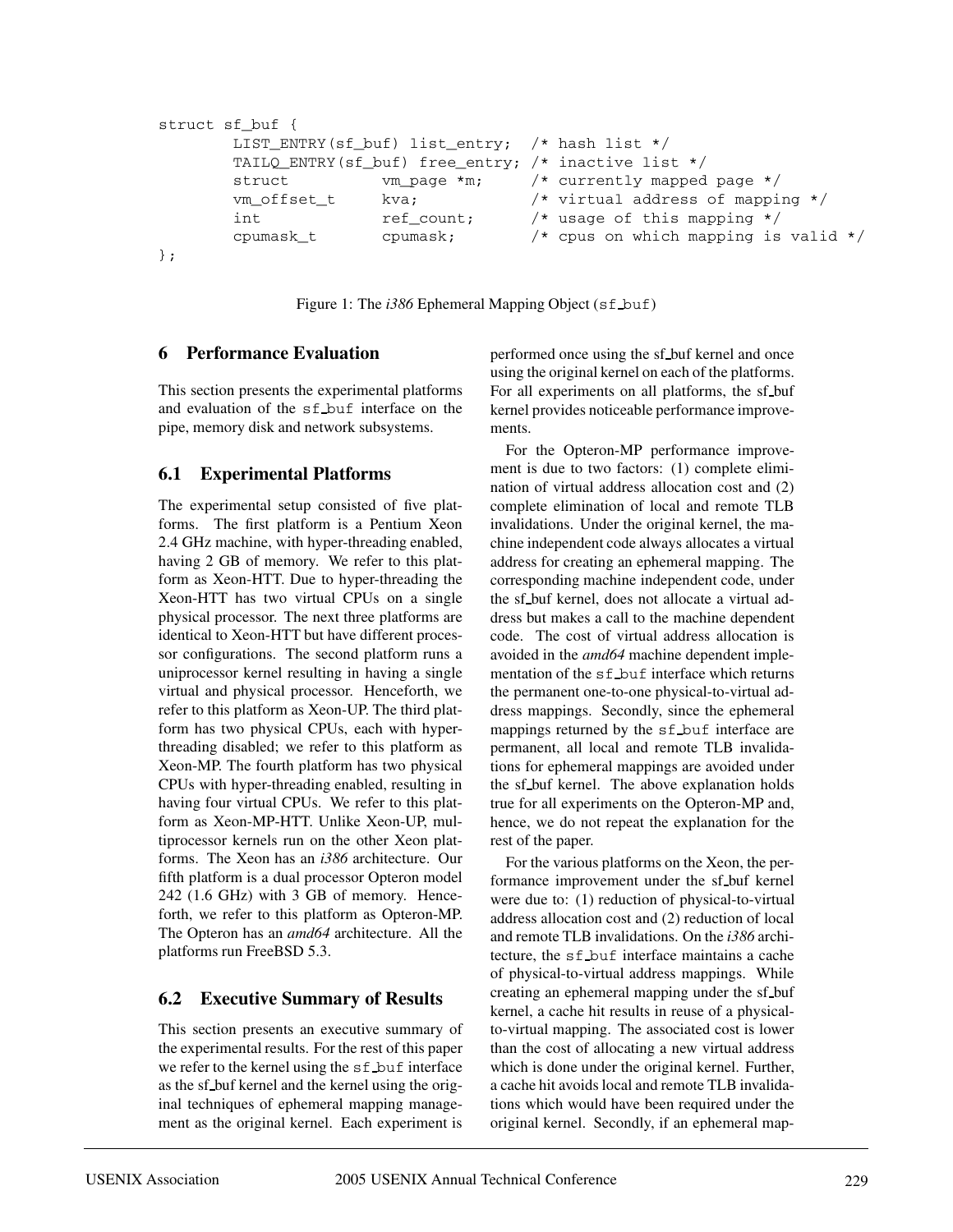```
struct sf buf {
       LIST ENTRY(sf buf) list entry; /* hash list */
       TAILQ_ENTRY(sf_buf) free_entry; /* inactive list */
       struct vm_page *m; /* currently mapped page */
       vm offset t kva; \frac{1}{2} is the virtual address of mapping \frac{x}{2}int ref count; /* usage of this mapping */cpumask_t cpumask; /* cpus on which mapping is valid */
};
```
Figure 1: The *i386* Ephemeral Mapping Object (sf\_buf)

### **6 Performance Evaluation**

This section presents the experimental platforms and evaluation of the sf buf interface on the pipe, memory disk and network subsystems.

### **6.1 Experimental Platforms**

The experimental setup consisted of five platforms. The first platform is a Pentium Xeon 2.4 GHz machine, with hyper-threading enabled, having 2 GB of memory. We refer to this platform as Xeon-HTT. Due to hyper-threading the Xeon-HTT has two virtual CPUs on a single physical processor. The next three platforms are identical to Xeon-HTT but have different processor configurations. The second platform runs a uniprocessor kernel resulting in having a single virtual and physical processor. Henceforth, we refer to this platform as Xeon-UP. The third platform has two physical CPUs, each with hyperthreading disabled; we refer to this platform as Xeon-MP. The fourth platform has two physical CPUs with hyper-threading enabled, resulting in having four virtual CPUs. We refer to this platform as Xeon-MP-HTT. Unlike Xeon-UP, multiprocessor kernels run on the other Xeon platforms. The Xeon has an *i386* architecture. Our fifth platform is a dual processor Opteron model 242 (1.6 GHz) with 3 GB of memory. Henceforth, we refer to this platform as Opteron-MP. The Opteron has an *amd64* architecture. All the platforms run FreeBSD 5.3.

### **6.2 Executive Summary of Results**

This section presents an executive summary of the experimental results. For the rest of this paper we refer to the kernel using the  $sf_b$  buf interface as the sf\_buf kernel and the kernel using the original techniques of ephemeral mapping management as the original kernel. Each experiment is performed once using the sf buf kernel and once using the original kernel on each of the platforms. For all experiments on all platforms, the sf\_buf kernel provides noticeable performance improvements.

For the Opteron-MP performance improvement is due to two factors: (1) complete elimination of virtual address allocation cost and (2) complete elimination of local and remote TLB invalidations. Under the original kernel, the machine independent code always allocates a virtual address for creating an ephemeral mapping. The corresponding machine independent code, under the sf buf kernel, does not allocate a virtual address but makes a call to the machine dependent code. The cost of virtual address allocation is avoided in the *amd64* machine dependent implementation of the sf buf interface which returns the permanent one-to-one physical-to-virtual address mappings. Secondly, since the ephemeral mappings returned by the sf buf interface are permanent, all local and remote TLB invalidations for ephemeral mappings are avoided under the sf buf kernel. The above explanation holds true for all experiments on the Opteron-MP and, hence, we do not repeat the explanation for the rest of the paper.

For the various platforms on the Xeon, the performance improvement under the sf buf kernel were due to: (1) reduction of physical-to-virtual address allocation cost and (2) reduction of local and remote TLB invalidations. On the *i386* architecture, the sf buf interface maintains a cache of physical-to-virtual address mappings. While creating an ephemeral mapping under the sf buf kernel, a cache hit results in reuse of a physicalto-virtual mapping. The associated cost is lower than the cost of allocating a new virtual address which is done under the original kernel. Further, a cache hit avoids local and remote TLB invalidations which would have been required under the original kernel. Secondly, if an ephemeral map-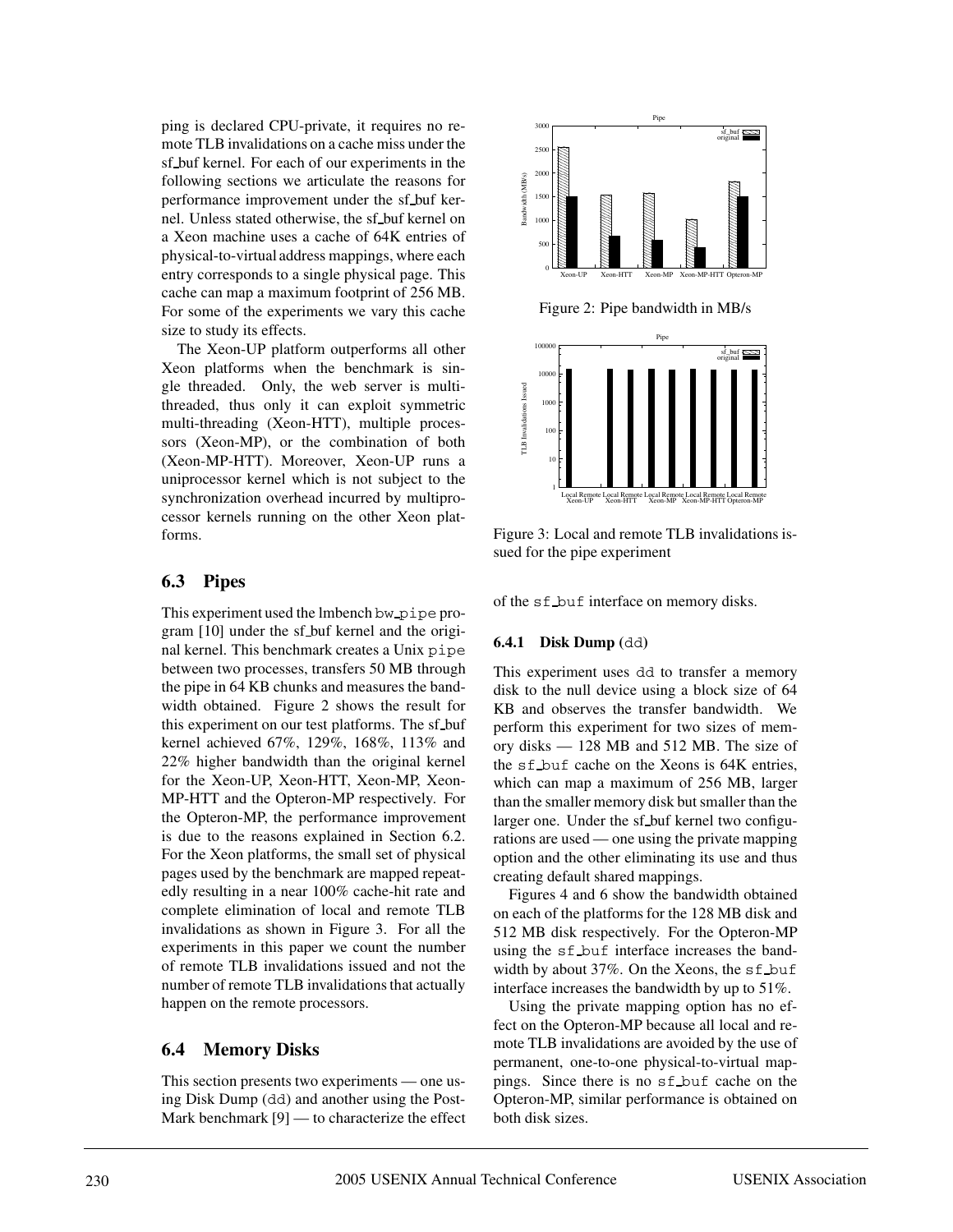ping is declared CPU-private, it requires no remote TLB invalidations on a cache miss under the sf buf kernel. For each of our experiments in the following sections we articulate the reasons for performance improvement under the sf buf kernel. Unless stated otherwise, the sf buf kernel on a Xeon machine uses a cache of 64K entries of physical-to-virtual address mappings, where each entry corresponds to a single physical page. This cache can map a maximum footprint of 256 MB. For some of the experiments we vary this cache size to study its effects.

The Xeon-UP platform outperforms all other Xeon platforms when the benchmark is single threaded. Only, the web server is multithreaded, thus only it can exploit symmetric multi-threading (Xeon-HTT), multiple processors (Xeon-MP), or the combination of both (Xeon-MP-HTT). Moreover, Xeon-UP runs a uniprocessor kernel which is not subject to the synchronization overhead incurred by multiprocessor kernels running on the other Xeon platforms.

### **6.3 Pipes**

This experiment used the lmbench bw pipe program [10] under the sf buf kernel and the original kernel. This benchmark creates a Unix pipe between two processes, transfers 50 MB through the pipe in 64 KB chunks and measures the bandwidth obtained. Figure 2 shows the result for this experiment on our test platforms. The sf buf kernel achieved 67%, 129%, 168%, 113% and 22% higher bandwidth than the original kernel for the Xeon-UP, Xeon-HTT, Xeon-MP, Xeon-MP-HTT and the Opteron-MP respectively. For the Opteron-MP, the performance improvement is due to the reasons explained in Section 6.2. For the Xeon platforms, the small set of physical pages used by the benchmark are mapped repeatedly resulting in a near 100% cache-hit rate and complete elimination of local and remote TLB invalidations as shown in Figure 3. For all the experiments in this paper we count the number of remote TLB invalidations issued and not the number of remote TLB invalidations that actually happen on the remote processors.

### **6.4 Memory Disks**

This section presents two experiments — one using Disk Dump (dd) and another using the Post-Mark benchmark [9] — to characterize the effect



Figure 3: Local and remote TLB invalidations issued for the pipe experiment

of the sf buf interface on memory disks.

#### **6.4.1 Disk Dump (**dd**)**

This experiment uses dd to transfer a memory disk to the null device using a block size of 64 KB and observes the transfer bandwidth. We perform this experiment for two sizes of memory disks — 128 MB and 512 MB. The size of the sf buf cache on the Xeons is 64K entries, which can map a maximum of 256 MB, larger than the smaller memory disk but smaller than the larger one. Under the sf buf kernel two configurations are used — one using the private mapping option and the other eliminating its use and thus creating default shared mappings.

Figures 4 and 6 show the bandwidth obtained on each of the platforms for the 128 MB disk and 512 MB disk respectively. For the Opteron-MP using the sf buf interface increases the bandwidth by about 37%. On the Xeons, the sf buf interface increases the bandwidth by up to 51%.

Using the private mapping option has no effect on the Opteron-MP because all local and remote TLB invalidations are avoided by the use of permanent, one-to-one physical-to-virtual mappings. Since there is no sf buf cache on the Opteron-MP, similar performance is obtained on both disk sizes.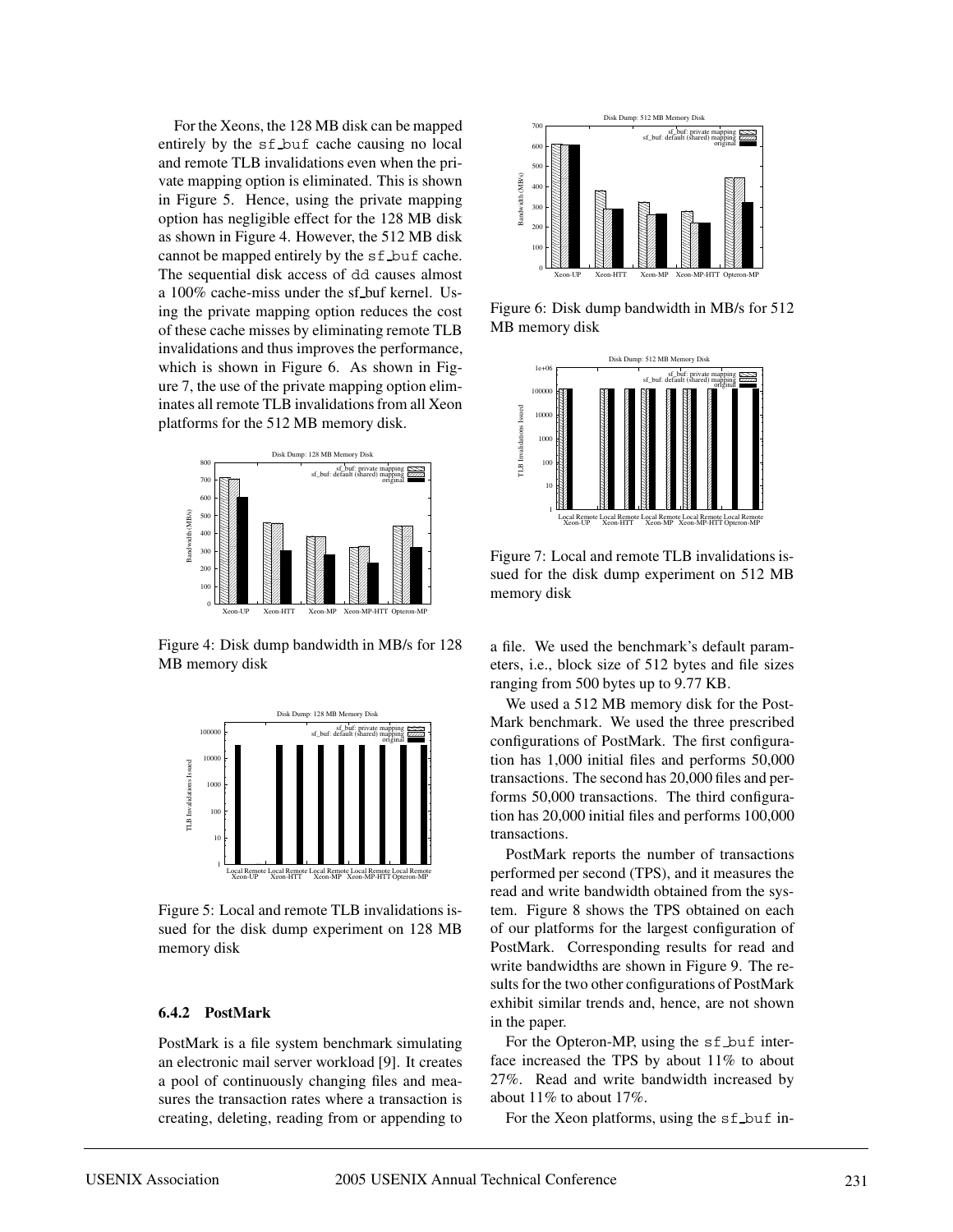For the Xeons, the 128 MB disk can be mapped entirely by the sf buf cache causing no local and remote TLB invalidations even when the private mapping option is eliminated. This is shown in Figure 5. Hence, using the private mapping option has negligible effect for the 128 MB disk as shown in Figure 4. However, the 512 MB disk cannot be mapped entirely by the sf buf cache. The sequential disk access of dd causes almost a 100% cache-miss under the sf buf kernel. Using the private mapping option reduces the cost of these cache misses by eliminating remote TLB invalidations and thus improves the performance, which is shown in Figure 6. As shown in Figure 7, the use of the private mapping option eliminates all remote TLB invalidations from all Xeon platforms for the 512 MB memory disk.



Figure 4: Disk dump bandwidth in MB/s for 128 MB memory disk



Figure 5: Local and remote TLB invalidations issued for the disk dump experiment on 128 MB memory disk

#### **6.4.2 PostMark**

PostMark is a file system benchmark simulating an electronic mail server workload [9]. It creates a pool of continuously changing files and measures the transaction rates where a transaction is creating, deleting, reading from or appending to



Figure 6: Disk dump bandwidth in MB/s for 512 MB memory disk



**i** memory disk sued for the disk dump experiment on 512 MB  $\parallel$  | Figure 7: Local and remote TLB invalidations is-

a file. We used the benchmark's default parameters, i.e., block size of 512 bytes and file sizes ranging from 500 bytes up to 9.77 KB.

 $\frac{1}{\log \cos \theta}$  Mark benchmark. We used the three prescribed We used a 512 MB memory disk for the Postconfigurations of PostMark. The first configuration has 1,000 initial files and performs 50,000 transactions. The second has 20,000 files and performs 50,000 transactions. The third configuration has 20,000 initial files and performs 100,000 transactions.

> PostMark reports the number of transactions performed per second (TPS), and it measures the read and write bandwidth obtained from the system. Figure 8 shows the TPS obtained on each of our platforms for the largest configuration of PostMark. Corresponding results for read and write bandwidths are shown in Figure 9. The results for the two other configurations of PostMark exhibit similar trends and, hence, are not shown in the paper.

> For the Opteron-MP, using the sf buf interface increased the TPS by about 11% to about 27%. Read and write bandwidth increased by about 11% to about 17%.

For the Xeon platforms, using the sf buf in-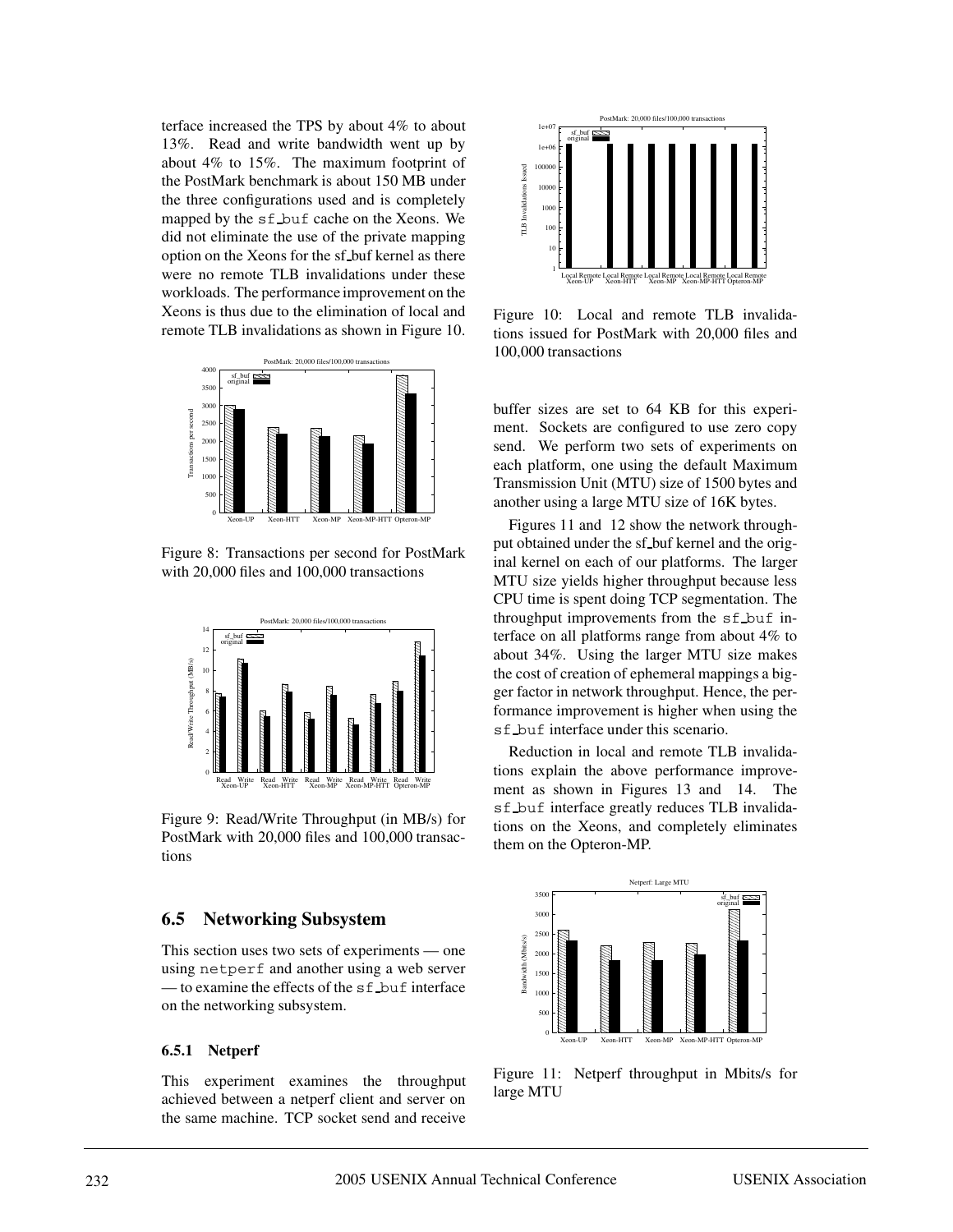terface increased the TPS by about 4% to about 13%. Read and write bandwidth went up by about 4% to 15%. The maximum footprint of the PostMark benchmark is about 150 MB under the three configurations used and is completely mapped by the sf buf cache on the Xeons. We did not eliminate the use of the private mapping option on the Xeons for the sf buf kernel as there were no remote TLB invalidations under these workloads. The performance improvement on the Xeons is thus due to the elimination of local and remote TLB invalidations as shown in Figure 10.



Figure 8: Transactions per second for PostMark with 20,000 files and 100,000 transactions



Figure 9: Read/Write Throughput (in MB/s) for PostMark with 20,000 files and 100,000 transactions

#### **6.5 Networking Subsystem**

This section uses two sets of experiments — one using netperf and another using a web server — to examine the effects of the sf buf interface on the networking subsystem.

#### **6.5.1 Netperf**

This experiment examines the throughput achieved between a netperf client and server on the same machine. TCP socket send and receive



Figure 10: Local and remote TLB invalidations issued for PostMark with 20,000 files and 100,000 transactions

buffer sizes are set to 64 KB for this experiment. Sockets are configured to use zero copy send. We perform two sets of experiments on each platform, one using the default Maximum Transmission Unit (MTU) size of 1500 bytes and another using a large MTU size of 16K bytes.

Figures 11 and 12 show the network throughput obtained under the sf buf kernel and the original kernel on each of our platforms. The larger MTU size yields higher throughput because less CPU time is spent doing TCP segmentation. The throughput improvements from the sf buf interface on all platforms range from about 4% to about 34%. Using the larger MTU size makes the cost of creation of ephemeral mappings a bigger factor in network throughput. Hence, the performance improvement is higher when using the sf buf interface under this scenario.

 $\mathbb{R}$  tions explain the above performance improve-Reduction in local and remote TLB invalidament as shown in Figures 13 and 14. The sf buf interface greatly reduces TLB invalidations on the Xeons, and completely eliminates them on the Opteron-MP.



Figure 11: Netperf throughput in Mbits/s for large MTU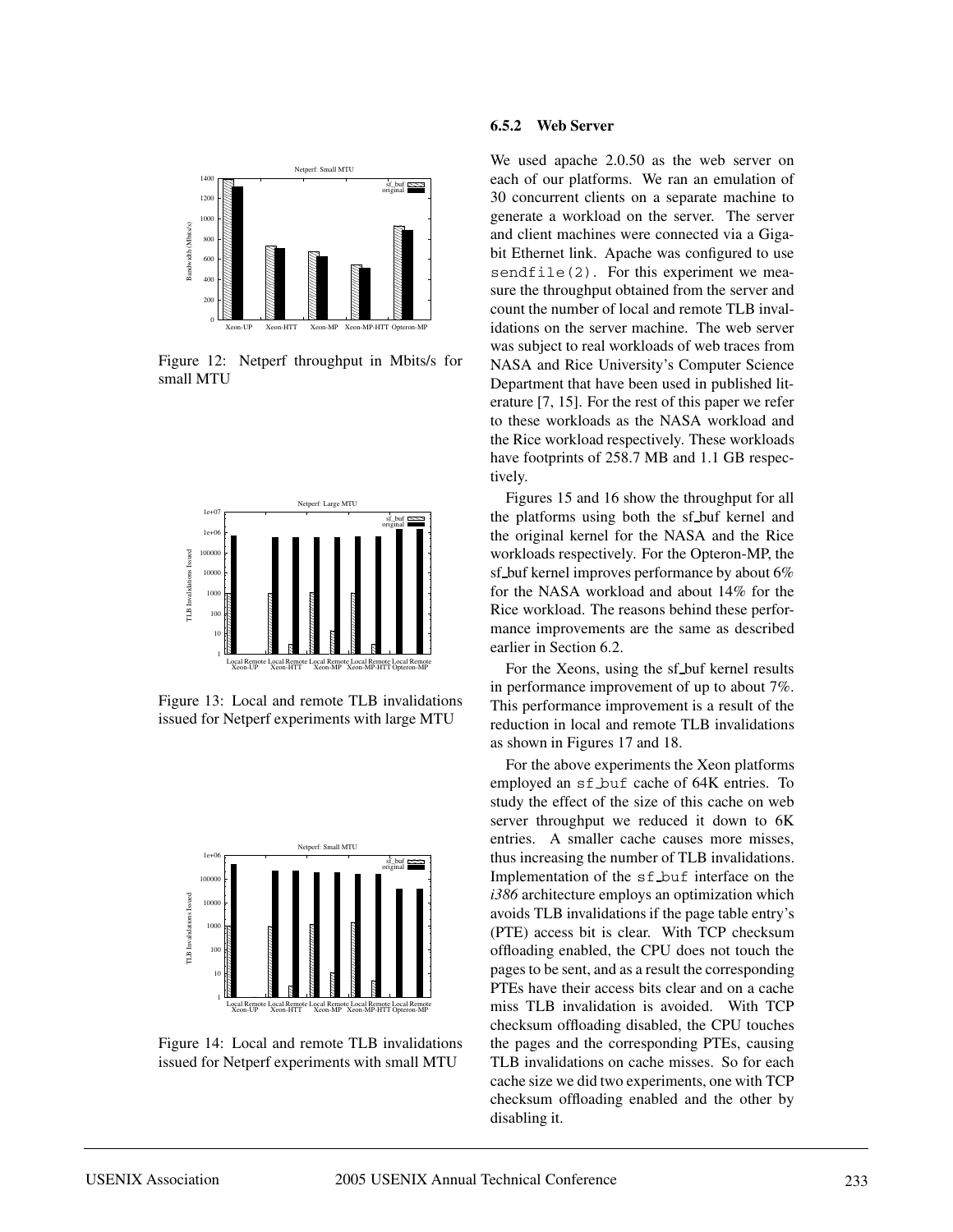

Figure 12: Netperf throughput in Mbits/s for small MTU



Figure 13: Local and remote TLB invalidations issued for Netperf experiments with large MTU



Figure 14: Local and remote TLB invalidations issued for Netperf experiments with small MTU

#### **6.5.2 Web Server**

 $\frac{1}{\sqrt{100}}$  each of our platforms. We ran an emulation of We used apache 2.0.50 as the web server on 30 concurrent clients on a separate machine to generate a workload on the server. The server and client machines were connected via a Gigabit Ethernet link. Apache was configured to use sendfile(2). For this experiment we measure the throughput obtained from the server and count the number of local and remote TLB invalidations on the server machine. The web server was subject to real workloads of web traces from NASA and Rice University's Computer Science Department that have been used in published literature [7, 15]. For the rest of this paper we refer to these workloads as the NASA workload and the Rice workload respectively. These workloads have footprints of 258.7 MB and 1.1 GB respectively.

the platforms using both the sf buf kernel and Figures 15 and 16 show the throughput for all the original kernel for the NASA and the Rice workloads respectively. For the Opteron-MP, the sf buf kernel improves performance by about 6% for the NASA workload and about 14% for the Rice workload. The reasons behind these performance improvements are the same as described earlier in Section 6.2.

> For the Xeons, using the sf buf kernel results in performance improvement of up to about 7%. This performance improvement is a result of the reduction in local and remote TLB invalidations as shown in Figures 17 and 18.

thus increasing the number of TLB invalidations. For the above experiments the Xeon platforms employed an sf buf cache of 64K entries. To study the effect of the size of this cache on web server throughput we reduced it down to 6K entries. A smaller cache causes more misses, Implementation of the sf buf interface on the *i386* architecture employs an optimization which avoids TLB invalidations if the page table entry's (PTE) access bit is clear. With TCP checksum offloading enabled, the CPU does not touch the pages to be sent, and as a result the corresponding PTEs have their access bits clear and on a cache miss TLB invalidation is avoided. With TCP checksum offloading disabled, the CPU touches the pages and the corresponding PTEs, causing TLB invalidations on cache misses. So for each cache size we did two experiments, one with TCP checksum offloading enabled and the other by disabling it.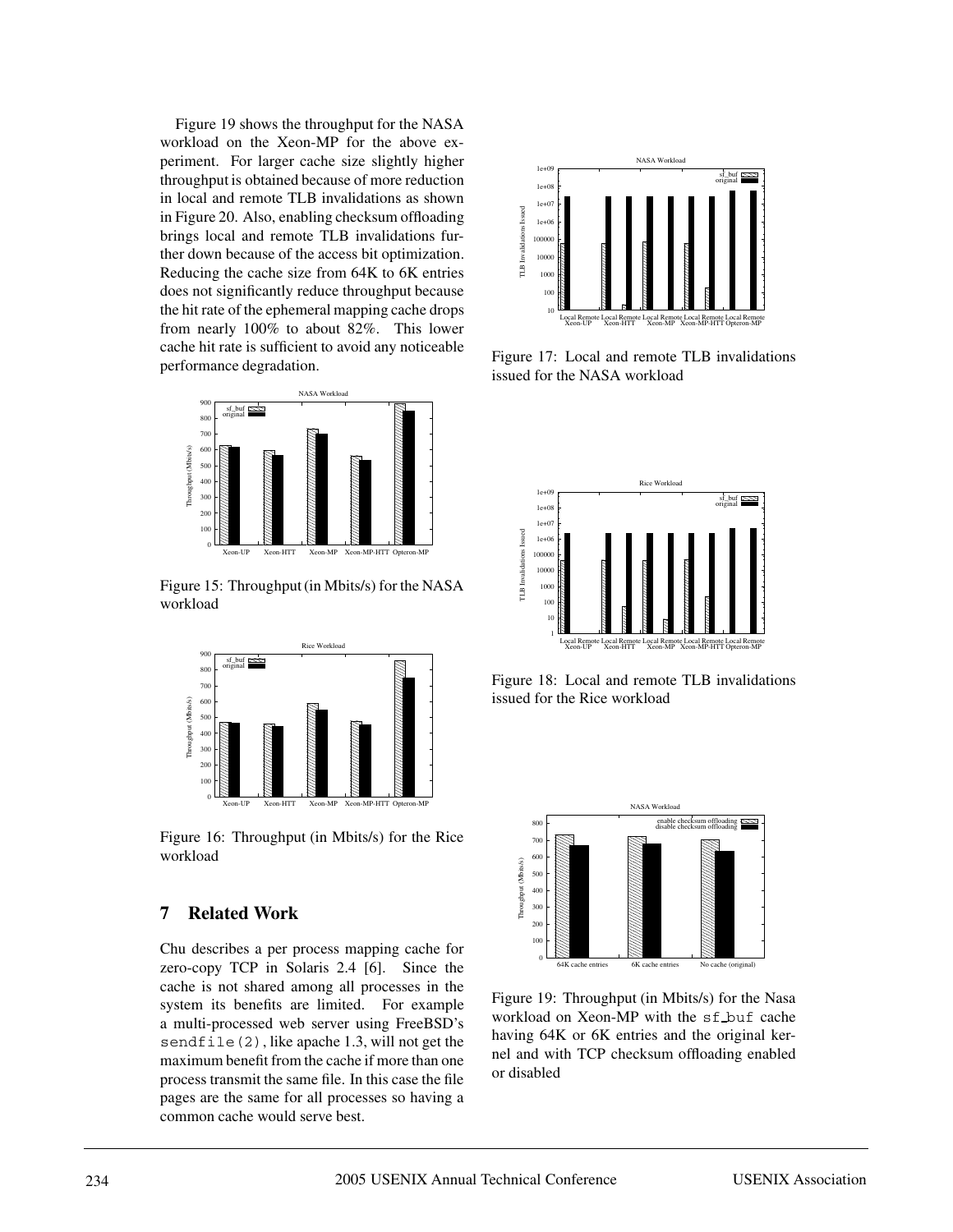Figure 19 shows the throughput for the NASA workload on the Xeon-MP for the above experiment. For larger cache size slightly higher throughput is obtained because of more reduction in local and remote TLB invalidations as shown in Figure 20. Also, enabling checksum offloading brings local and remote TLB invalidations further down because of the access bit optimization. Reducing the cache size from 64K to 6K entries does not significantly reduce throughput because the hit rate of the ephemeral mapping cache drops from nearly 100% to about 82%. This lower cache hit rate is sufficient to avoid any noticeable performance degradation.



Figure 15: Throughput (in Mbits/s) for the NASA workload



Figure 16: Throughput (in Mbits/s) for the Rice workload

### **7 Related Work**

Chu describes a per process mapping cache for zero-copy TCP in Solaris 2.4 [6]. Since the cache is not shared among all processes in the system its benefits are limited. For example a multi-processed web server using FreeBSD's sendfile(2), like apache 1.3, will not get the maximum benefit from the cache if more than one process transmit the same file. In this case the file pages are the same for all processes so having a common cache would serve best.



Figure 17: Local and remote TLB invalidations issued for the NASA workload



Figure 18: Local and remote TLB invalidations issued for the Rice workload



Figure 19: Throughput (in Mbits/s) for the Nasa workload on Xeon-MP with the sf buf cache having 64K or 6K entries and the original kernel and with TCP checksum offloading enabled or disabled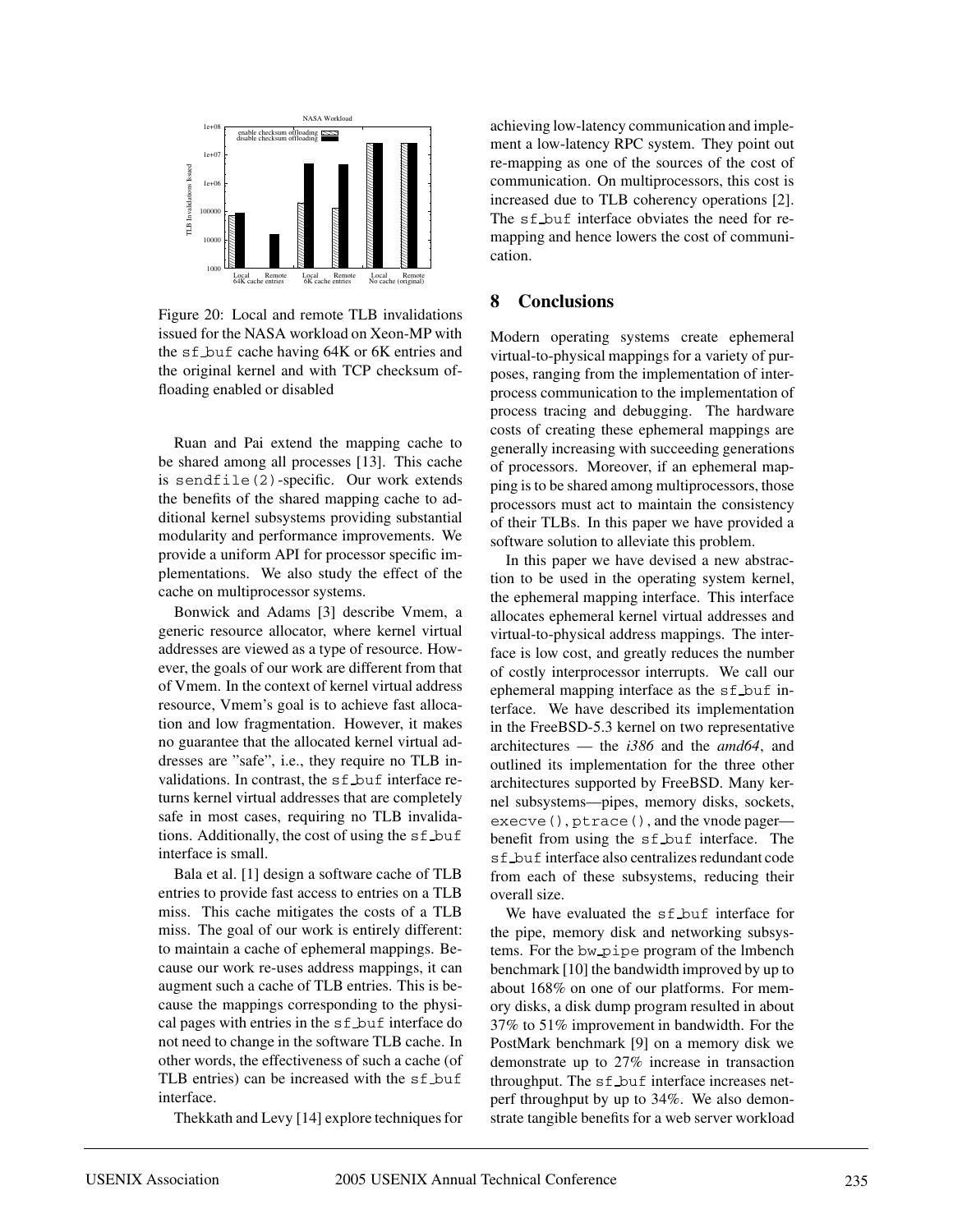

Figure 20: Local and remote TLB invalidations issued for the NASA workload on Xeon-MP with the sf buf cache having 64K or 6K entries and the original kernel and with TCP checksum offloading enabled or disabled

Ruan and Pai extend the mapping cache to be shared among all processes [13]. This cache is sendfile(2)-specific. Our work extends the benefits of the shared mapping cache to additional kernel subsystems providing substantial modularity and performance improvements. We provide a uniform API for processor specific implementations. We also study the effect of the cache on multiprocessor systems.

Bonwick and Adams [3] describe Vmem, a generic resource allocator, where kernel virtual addresses are viewed as a type of resource. However, the goals of our work are different from that of Vmem. In the context of kernel virtual address resource, Vmem's goal is to achieve fast allocation and low fragmentation. However, it makes no guarantee that the allocated kernel virtual addresses are "safe", i.e., they require no TLB invalidations. In contrast, the sf buf interface returns kernel virtual addresses that are completely safe in most cases, requiring no TLB invalidations. Additionally, the cost of using the  $sf_b$ -buf interface is small.

Bala et al. [1] design a software cache of TLB entries to provide fast access to entries on a TLB miss. This cache mitigates the costs of a TLB miss. The goal of our work is entirely different: to maintain a cache of ephemeral mappings. Because our work re-uses address mappings, it can augment such a cache of TLB entries. This is because the mappings corresponding to the physical pages with entries in the sf buf interface do not need to change in the software TLB cache. In other words, the effectiveness of such a cache (of TLB entries) can be increased with the sf buf interface.

Thekkath and Levy [14] explore techniques for

achieving low-latency communication and implement a low-latency RPC system. They point out re-mapping as one of the sources of the cost of communication. On multiprocessors, this cost is increased due to TLB coherency operations [2]. The sf buf interface obviates the need for remapping and hence lowers the cost of communication.

#### **8 Conclusions**

Modern operating systems create ephemeral virtual-to-physical mappings for a variety of purposes, ranging from the implementation of interprocess communication to the implementation of process tracing and debugging. The hardware costs of creating these ephemeral mappings are generally increasing with succeeding generations of processors. Moreover, if an ephemeral mapping is to be shared among multiprocessors, those processors must act to maintain the consistency of their TLBs. In this paper we have provided a software solution to alleviate this problem.

In this paper we have devised a new abstraction to be used in the operating system kernel, the ephemeral mapping interface. This interface allocates ephemeral kernel virtual addresses and virtual-to-physical address mappings. The interface is low cost, and greatly reduces the number of costly interprocessor interrupts. We call our ephemeral mapping interface as the sf buf interface. We have described its implementation in the FreeBSD-5.3 kernel on two representative architectures — the *i386* and the *amd64*, and outlined its implementation for the three other architectures supported by FreeBSD. Many kernel subsystems—pipes, memory disks, sockets, execve(), ptrace(), and the vnode pagerbenefit from using the sf buf interface. The sf buf interface also centralizes redundant code from each of these subsystems, reducing their overall size.

We have evaluated the sf\_buf interface for the pipe, memory disk and networking subsystems. For the bw pipe program of the lmbench benchmark [10] the bandwidth improved by up to about 168% on one of our platforms. For memory disks, a disk dump program resulted in about 37% to 51% improvement in bandwidth. For the PostMark benchmark [9] on a memory disk we demonstrate up to 27% increase in transaction throughput. The sf buf interface increases netperf throughput by up to 34%. We also demonstrate tangible benefits for a web server workload